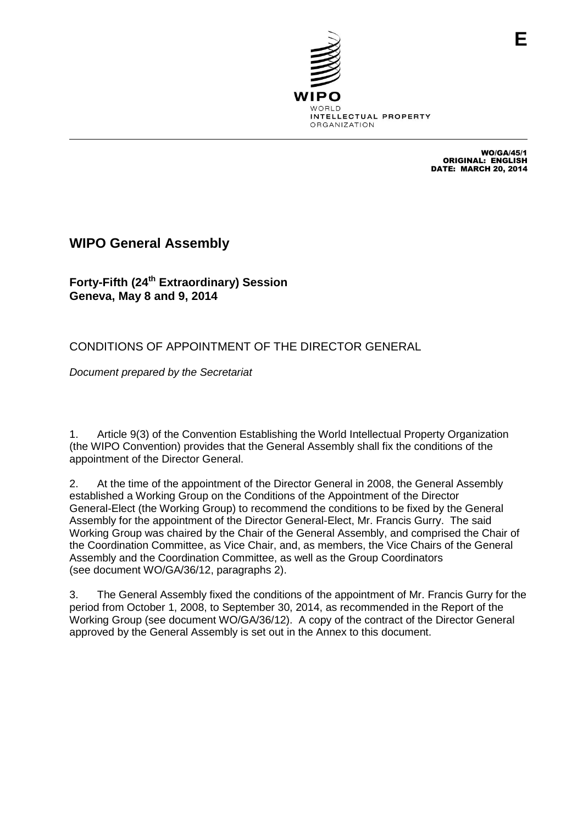

WO/GA/45/1 ORIGINAL: ENGLISH DATE: MARCH 20, 2014

## **WIPO General Assembly**

**Forty-Fifth (24 th Extraordinary) Session Geneva, May 8 and 9, 2014**

CONDITIONS OF APPOINTMENT OF THE DIRECTOR GENERAL

*Document prepared by the Secretariat*

1. Article 9(3) of the Convention Establishing the World Intellectual Property Organization (the WIPO Convention) provides that the General Assembly shall fix the conditions of the appointment of the Director General.

2. At the time of the appointment of the Director General in 2008, the General Assembly established a Working Group on the Conditions of the Appointment of the Director General-Elect (the Working Group) to recommend the conditions to be fixed by the General Assembly for the appointment of the Director General-Elect, Mr. Francis Gurry. The said Working Group was chaired by the Chair of the General Assembly, and comprised the Chair of the Coordination Committee, as Vice Chair, and, as members, the Vice Chairs of the General Assembly and the Coordination Committee, as well as the Group Coordinators (see document WO/GA/36/12, paragraphs 2).

3. The General Assembly fixed the conditions of the appointment of Mr. Francis Gurry for the period from October 1, 2008, to September 30, 2014, as recommended in the Report of the Working Group (see document WO/GA/36/12). A copy of the contract of the Director General approved by the General Assembly is set out in the Annex to this document.